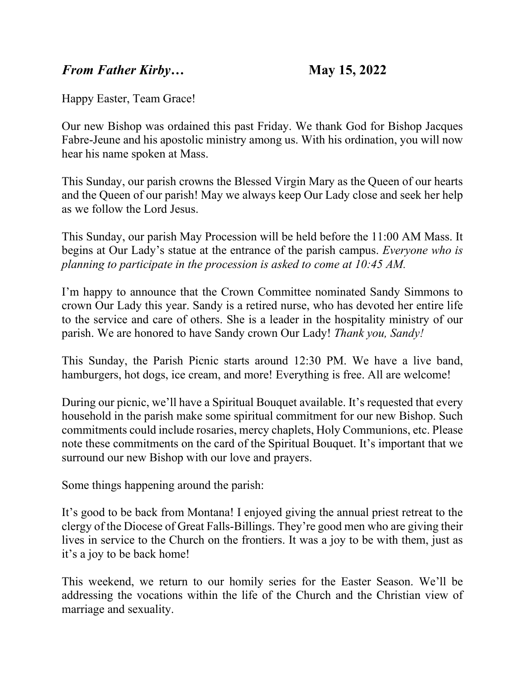## *From Father Kirby…* **May 15, 2022**

Happy Easter, Team Grace!

Our new Bishop was ordained this past Friday. We thank God for Bishop Jacques Fabre-Jeune and his apostolic ministry among us. With his ordination, you will now hear his name spoken at Mass.

This Sunday, our parish crowns the Blessed Virgin Mary as the Queen of our hearts and the Queen of our parish! May we always keep Our Lady close and seek her help as we follow the Lord Jesus.

This Sunday, our parish May Procession will be held before the 11:00 AM Mass. It begins at Our Lady's statue at the entrance of the parish campus. *Everyone who is planning to participate in the procession is asked to come at 10:45 AM.*

I'm happy to announce that the Crown Committee nominated Sandy Simmons to crown Our Lady this year. Sandy is a retired nurse, who has devoted her entire life to the service and care of others. She is a leader in the hospitality ministry of our parish. We are honored to have Sandy crown Our Lady! *Thank you, Sandy!*

This Sunday, the Parish Picnic starts around 12:30 PM. We have a live band, hamburgers, hot dogs, ice cream, and more! Everything is free. All are welcome!

During our picnic, we'll have a Spiritual Bouquet available. It's requested that every household in the parish make some spiritual commitment for our new Bishop. Such commitments could include rosaries, mercy chaplets, Holy Communions, etc. Please note these commitments on the card of the Spiritual Bouquet. It's important that we surround our new Bishop with our love and prayers.

Some things happening around the parish:

It's good to be back from Montana! I enjoyed giving the annual priest retreat to the clergy of the Diocese of Great Falls-Billings. They're good men who are giving their lives in service to the Church on the frontiers. It was a joy to be with them, just as it's a joy to be back home!

This weekend, we return to our homily series for the Easter Season. We'll be addressing the vocations within the life of the Church and the Christian view of marriage and sexuality.